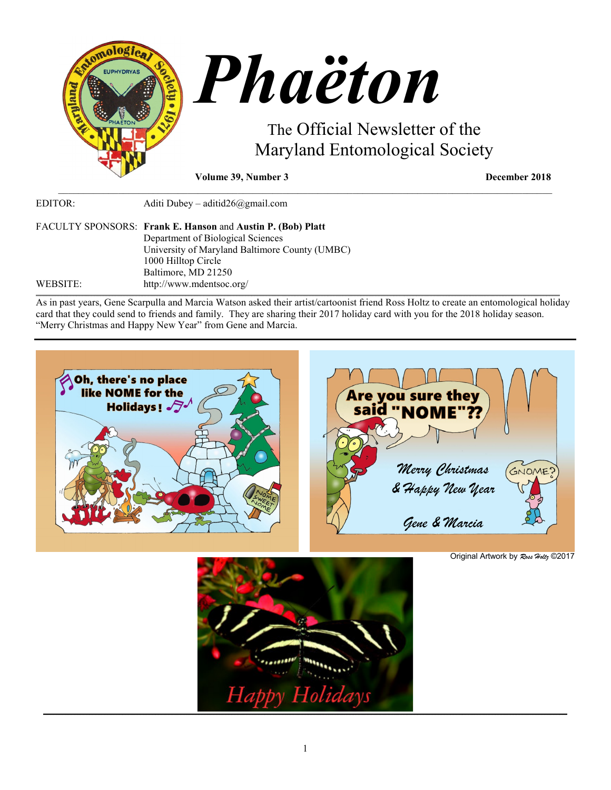

| EDITOR:  | Aditi Dubey – aditid $26$ @gmail.com                        |
|----------|-------------------------------------------------------------|
|          | FACULTY SPONSORS: Frank E. Hanson and Austin P. (Bob) Platt |
|          | Department of Biological Sciences                           |
|          | University of Maryland Baltimore County (UMBC)              |
|          | 1000 Hilltop Circle                                         |
|          | Baltimore, MD 21250                                         |
| WEBSITE: | http://www.mdentsoc.org/                                    |

As in past years, Gene Scarpulla and Marcia Watson asked their artist/cartoonist friend Ross Holtz to create an entomological holiday card that they could send to friends and family. They are sharing their 2017 holiday card with you for the 2018 holiday season. "Merry Christmas and Happy New Year" from Gene and Marcia.

\_\_\_\_\_\_\_\_\_\_\_\_\_\_\_\_\_\_\_\_\_\_\_\_\_\_\_\_\_\_\_\_\_\_\_\_\_\_\_\_\_\_\_\_\_\_\_\_\_\_\_\_\_\_\_\_\_\_\_\_\_\_\_\_\_\_\_\_\_\_\_\_\_\_\_\_\_\_\_\_\_\_\_\_\_\_\_\_\_\_\_\_\_\_\_\_\_\_\_





Original Artwork by *Ross Holtz* ©2017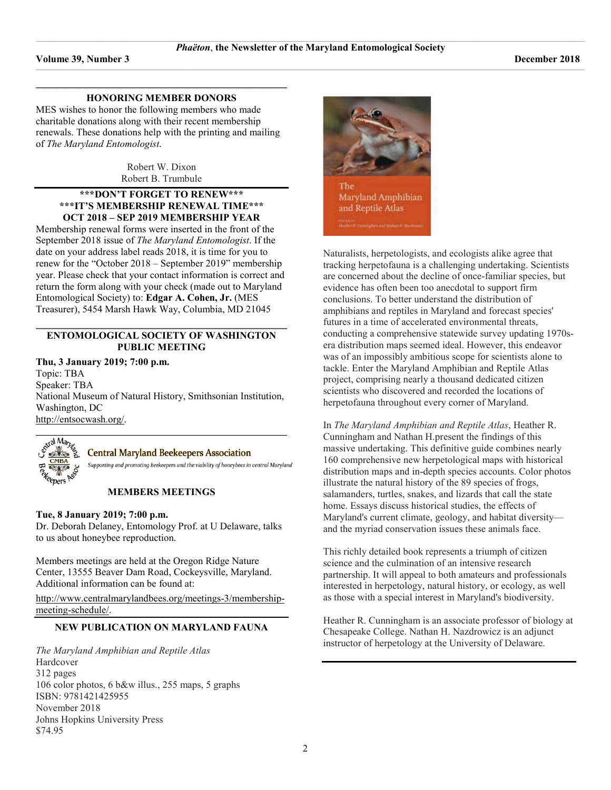#### **\_\_\_\_\_\_\_\_\_\_\_\_\_\_\_\_\_\_\_\_\_\_\_\_\_\_\_\_\_\_\_\_\_\_\_\_\_\_\_\_\_\_\_\_\_\_\_\_\_\_\_\_\_\_\_\_\_\_\_\_\_\_\_\_\_\_\_\_\_\_\_\_\_\_\_\_\_\_\_\_\_\_\_\_\_\_\_\_\_\_\_\_\_\_\_\_\_\_\_\_\_\_\_\_\_\_\_\_\_\_\_\_\_\_\_\_\_\_\_\_\_\_\_\_\_\_\_\_\_\_\_\_\_\_\_\_\_\_\_\_\_\_\_\_\_\_\_\_\_\_\_\_\_\_\_\_\_\_\_\_\_\_\_\_\_\_\_\_ HONORING MEMBER DONORS**

MES wishes to honor the following members who made charitable donations along with their recent membership renewals. These donations help with the printing and mailing of *The Maryland Entomologist*.

> Robert W. Dixon Robert B. Trumbule

# **\*\*\*DON'T FORGET TO RENEW\*\*\* \*\*\*IT'S MEMBERSHIP RENEWAL TIME\*\*\* OCT 2018 – SEP 2019 MEMBERSHIP YEAR**

Membership renewal forms were inserted in the front of the September 2018 issue of *The Maryland Entomologist*. If the date on your address label reads 2018, it is time for you to renew for the "October 2018 – September 2019" membership year. Please check that your contact information is correct and return the form along with your check (made out to Maryland Entomological Society) to: **Edgar A. Cohen, Jr.** (MES Treasurer), 5454 Marsh Hawk Way, Columbia, MD 21045

# **ENTOMOLOGICAL SOCIETY OF WASHINGTON PUBLIC MEETING**

**Thu, 3 January 2019; 7:00 p.m.** Topic: TBA Speaker: TBA National Museum of Natural History, Smithsonian Institution, Washington, DC

[http://entsocwash.org/.](http://entsocwash.org/)



# **Central Maryland Beekeepers Association**

Supporting and promoting beekeepers and the viability of honeybees in central Maryland

# **MEMBERS MEETINGS**

# **Tue, 8 January 2019; 7:00 p.m.**

Dr. Deborah Delaney, Entomology Prof. at U Delaware, talks to us about honeybee reproduction.

Members meetings are held at the Oregon Ridge Nature Center, 13555 Beaver Dam Road, Cockeysville, Maryland. Additional information can be found at:

[http://www.centralmarylandbees.org/meetings-3/membership](http://www.centralmarylandbees.org/meetings-3/membership-meeting-schedule/)[meeting-schedule/.](http://www.centralmarylandbees.org/meetings-3/membership-meeting-schedule/)

# **NEW PUBLICATION ON MARYLAND FAUNA**

*The Maryland Amphibian and Reptile Atlas* Hardcover 312 pages 106 color photos, 6 b&w illus., 255 maps, 5 graphs ISBN: 9781421425955 November 2018 Johns Hopkins University Press \$74.95



<u> Martin College and College and College and College and College and College and College and College and College and</u>

Naturalists, herpetologists, and ecologists alike agree that tracking herpetofauna is a challenging undertaking. Scientists are concerned about the decline of once-familiar species, but evidence has often been too anecdotal to support firm conclusions. To better understand the distribution of amphibians and reptiles in Maryland and forecast species' futures in a time of accelerated environmental threats, conducting a comprehensive statewide survey updating 1970sera distribution maps seemed ideal. However, this endeavor was of an impossibly ambitious scope for scientists alone to tackle. Enter the Maryland Amphibian and Reptile Atlas project, comprising nearly a thousand dedicated citizen scientists who discovered and recorded the locations of herpetofauna throughout every corner of Maryland.

In *The Maryland Amphibian and Reptile Atlas*, Heather R. Cunningham and Nathan H.present the findings of this massive undertaking. This definitive guide combines nearly 160 comprehensive new herpetological maps with historical distribution maps and in-depth species accounts. Color photos illustrate the natural history of the 89 species of frogs, salamanders, turtles, snakes, and lizards that call the state home. Essays discuss historical studies, the effects of Maryland's current climate, geology, and habitat diversity and the myriad conservation issues these animals face.

This richly detailed book represents a triumph of citizen science and the culmination of an intensive research partnership. It will appeal to both amateurs and professionals interested in herpetology, natural history, or ecology, as well as those with a special interest in Maryland's biodiversity.

Heather R. Cunningham is an associate professor of biology at Chesapeake College. Nathan H. Nazdrowicz is an adjunct instructor of herpetology at the University of Delaware.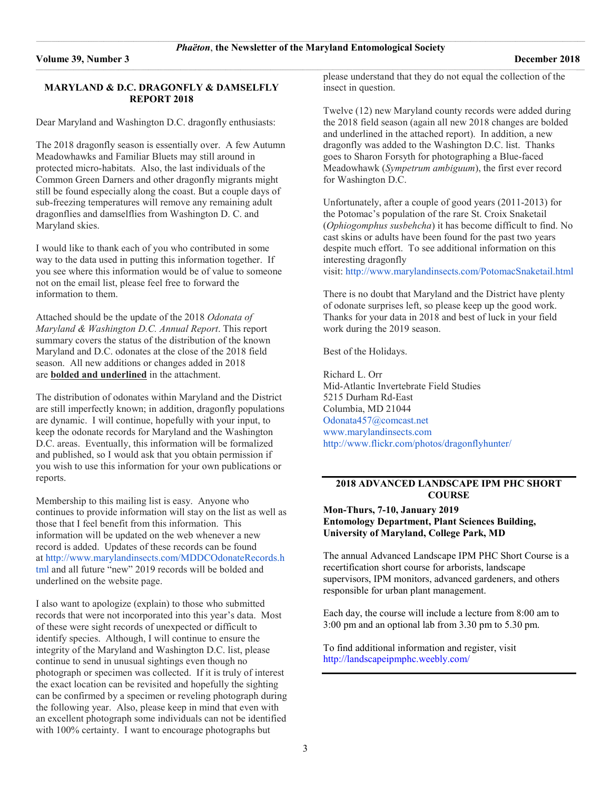#### **MARYLAND & D.C. DRAGONFLY & DAMSELFLY REPORT 2018**

Dear Maryland and Washington D.C. dragonfly enthusiasts:

The 2018 dragonfly season is essentially over. A few Autumn Meadowhawks and Familiar Bluets may still around in protected micro-habitats. Also, the last individuals of the Common Green Darners and other dragonfly migrants might still be found especially along the coast. But a couple days of sub-freezing temperatures will remove any remaining adult dragonflies and damselflies from Washington D. C. and Maryland skies.

I would like to thank each of you who contributed in some way to the data used in putting this information together. If you see where this information would be of value to someone not on the email list, please feel free to forward the information to them.

Attached should be the update of the 2018 *Odonata of Maryland & Washington D.C. Annual Report*. This report summary covers the status of the distribution of the known Maryland and D.C. odonates at the close of the 2018 field season. All new additions or changes added in 2018 are **bolded and underlined** in the attachment.

The distribution of odonates within Maryland and the District are still imperfectly known; in addition, dragonfly populations are dynamic. I will continue, hopefully with your input, to keep the odonate records for Maryland and the Washington D.C. areas. Eventually, this information will be formalized and published, so I would ask that you obtain permission if you wish to use this information for your own publications or reports.

Membership to this mailing list is easy. Anyone who continues to provide information will stay on the list as well as those that I feel benefit from this information. This information will be updated on the web whenever a new record is added. Updates of these records can be found at [http://www.marylandinsects.com/MDDCOdonateRecords.h](http://www.marylandinsects.com/MDDCOdonateRecords.html) [tml](http://www.marylandinsects.com/MDDCOdonateRecords.html) and all future "new" 2019 records will be bolded and underlined on the website page.

I also want to apologize (explain) to those who submitted records that were not incorporated into this year's data. Most of these were sight records of unexpected or difficult to identify species. Although, I will continue to ensure the integrity of the Maryland and Washington D.C. list, please continue to send in unusual sightings even though no photograph or specimen was collected. If it is truly of interest the exact location can be revisited and hopefully the sighting can be confirmed by a specimen or reveling photograph during the following year. Also, please keep in mind that even with an excellent photograph some individuals can not be identified with 100% certainty. I want to encourage photographs but

please understand that they do not equal the collection of the insect in question.

Twelve (12) new Maryland county records were added during the 2018 field season (again all new 2018 changes are bolded and underlined in the attached report). In addition, a new dragonfly was added to the Washington D.C. list. Thanks goes to Sharon Forsyth for photographing a Blue-faced Meadowhawk (*Sympetrum ambiguum*), the first ever record for Washington D.C.

Unfortunately, after a couple of good years (2011-2013) for the Potomac's population of the rare St. Croix Snaketail (*Ophiogomphus susbehcha*) it has become difficult to find. No cast skins or adults have been found for the past two years despite much effort. To see additional information on this interesting dragonfly visit: <http://www.marylandinsects.com/PotomacSnaketail.html>

There is no doubt that Maryland and the District have plenty of odonate surprises left, so please keep up the good work. Thanks for your data in 2018 and best of luck in your field work during the 2019 season.

Best of the Holidays.

Richard L. Orr Mid-Atlantic Invertebrate Field Studies 5215 Durham Rd-East Columbia, MD 21044 [Odonata457@comcast.net](mailto:Odonata457@comcast.net) [www.marylandinsects.com](http://www.marylandinsects.com/) <http://www.flickr.com/photos/dragonflyhunter/>

# **2018 ADVANCED LANDSCAPE IPM PHC SHORT COURSE**

# **Mon-Thurs, 7-10, January 2019 Entomology Department, Plant Sciences Building, University of Maryland, College Park, MD**

The annual Advanced Landscape IPM PHC Short Course is a recertification short course for arborists, landscape supervisors, IPM monitors, advanced gardeners, and others responsible for urban plant management.

Each day, the course will include a lecture from 8:00 am to 3:00 pm and an optional lab from 3.30 pm to 5.30 pm.

To find additional information and register, visit <http://landscapeipmphc.weebly.com/>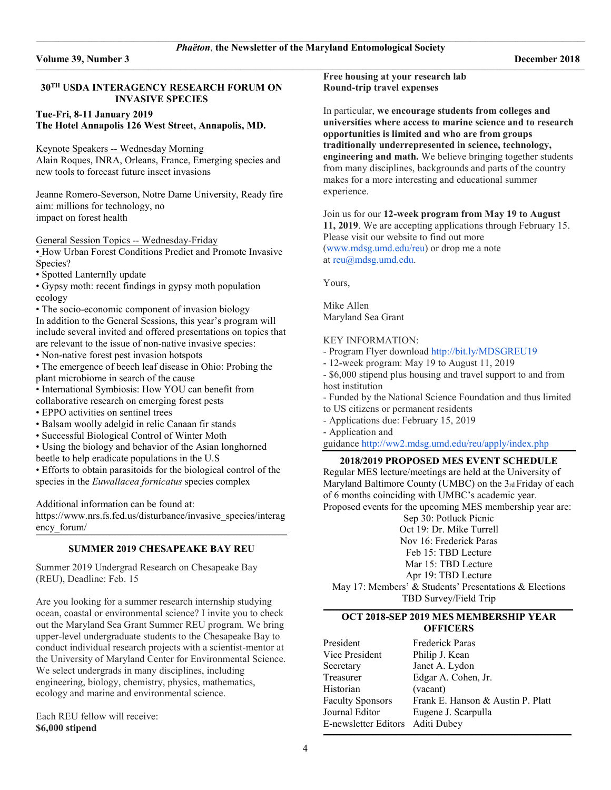# **30TH USDA INTERAGENCY RESEARCH FORUM ON INVASIVE SPECIES**

# **Tue-Fri, 8-11 January 2019 The Hotel Annapolis 126 West Street, Annapolis, MD.**

# Keynote Speakers -- Wednesday Morning

Alain Roques, INRA, Orleans, France, Emerging species and new tools to forecast future insect invasions

Jeanne Romero-Severson, Notre Dame University, Ready fire aim: millions for technology, no impact on forest health

# General Session Topics -- Wednesday-Friday

• How Urban Forest Conditions Predict and Promote Invasive Species?

• Spotted Lanternfly update

• Gypsy moth: recent findings in gypsy moth population ecology

• The socio-economic component of invasion biology In addition to the General Sessions, this year's program will include several invited and offered presentations on topics that are relevant to the issue of non-native invasive species:

• Non-native forest pest invasion hotspots

• The emergence of beech leaf disease in Ohio: Probing the plant microbiome in search of the cause

• International Symbiosis: How YOU can benefit from collaborative research on emerging forest pests

- EPPO activities on sentinel trees
- Balsam woolly adelgid in relic Canaan fir stands
- Successful Biological Control of Winter Moth
- Using the biology and behavior of the Asian longhorned
- beetle to help eradicate populations in the U.S

• Efforts to obtain parasitoids for the biological control of the species in the *Euwallacea fornicatus* species complex

Additional information can be found at:

[https://www.nrs.fs.fed.us/disturbance/invasive\\_species/interag](https://www.nrs.fs.fed.us/disturbance/invasive_species/interagency_forum/) [ency\\_forum/](https://www.nrs.fs.fed.us/disturbance/invasive_species/interagency_forum/) **\_\_\_\_\_\_\_\_\_\_\_\_\_\_\_\_\_\_\_\_\_\_\_\_\_\_\_\_\_\_\_\_\_\_\_\_\_\_\_\_\_\_\_\_\_\_\_\_\_\_\_\_\_\_\_\_\_\_\_\_\_\_\_\_\_\_\_\_\_\_\_\_\_\_\_\_\_\_\_\_\_\_\_\_\_\_\_\_\_\_\_\_\_\_\_\_\_\_\_\_\_\_\_\_\_\_\_\_\_\_\_\_\_\_\_\_\_\_\_\_\_\_\_\_\_\_\_\_\_\_\_\_\_\_\_\_\_\_\_\_\_\_\_\_\_\_\_\_\_\_\_\_\_\_\_\_\_\_\_\_\_\_\_\_\_\_\_\_**

# **SUMMER 2019 CHESAPEAKE BAY REU**

Summer 2019 Undergrad Research on Chesapeake Bay (REU), Deadline: Feb. 15

Are you looking for a summer research internship studying ocean, coastal or environmental science? I invite you to check out the Maryland Sea Grant Summer REU program. We bring upper-level undergraduate students to the Chesapeake Bay to conduct individual research projects with a scientist-mentor at the University of Maryland Center for Environmental Science. We select undergrads in many disciplines, including engineering, biology, chemistry, physics, mathematics, ecology and marine and environmental science.

Each REU fellow will receive: **\$6,000 stipend**

**Free housing at your research lab Round-trip travel expenses**

In particular, **we encourage students from colleges and universities where access to marine science and to research opportunities is limited and who are from groups traditionally underrepresented in science, technology, engineering and math.** We believe bringing together students from many disciplines, backgrounds and parts of the country makes for a more interesting and educational summer experience.

# Join us for our **12-week program from May 19 to August**

**11, 2019**. We are accepting applications through February 15. Please visit our website to find out more [\(www.mdsg.umd.edu/reu\)](http://www.mdsg.umd.edu/reu) or drop me a note at [reu@mdsg.umd.edu.](mailto:reu@mdsg.umd.edu)

Yours,

Mike Allen Maryland Sea Grant

# KEY INFORMATION:

- Program Flyer download <http://bit.ly/MDSGREU19>
- 12-week program: May 19 to August 11, 2019
- \$6,000 stipend plus housing and travel support to and from host institution

- Funded by the National Science Foundation and thus limited to US citizens or permanent residents

- Applications due: February 15, 2019

- Application and

guidance <http://ww2.mdsg.umd.edu/reu/apply/index.php>

# **2018/2019 PROPOSED MES EVENT SCHEDULE**

Regular MES lecture/meetings are held at the University of Maryland Baltimore County (UMBC) on the 3rd Friday of each of 6 months coinciding with UMBC's academic year. Proposed events for the upcoming MES membership year are:

Sep 30: Potluck Picnic

Oct 19: Dr. Mike Turrell

Nov 16: Frederick Paras

Feb 15: TBD Lecture

Mar 15: TBD Lecture

Apr 19: TBD Lecture

May 17: Members' & Students' Presentations & Elections TBD Survey/Field Trip

# **OCT 2018-SEP 2019 MES MEMBERSHIP YEAR OFFICERS**

| President                        | Frederick Paras                   |
|----------------------------------|-----------------------------------|
| Vice President                   | Philip J. Kean                    |
| Secretary                        | Janet A. Lydon                    |
| Treasurer                        | Edgar A. Cohen, Jr.               |
| Historian                        | (vacant)                          |
| Faculty Sponsors                 | Frank E. Hanson & Austin P. Platt |
| Journal Editor                   | Eugene J. Scarpulla               |
| E-newsletter Editors Aditi Dubey |                                   |

**\_\_\_\_\_\_\_\_\_\_\_\_\_\_\_\_\_\_\_\_\_\_\_\_\_\_\_\_\_\_\_\_\_\_\_\_\_\_\_\_\_\_\_\_\_\_\_\_\_\_\_\_\_\_\_\_\_\_\_\_\_\_\_\_\_\_\_\_\_\_\_\_\_\_\_\_\_\_\_\_\_\_\_\_\_\_\_\_\_\_\_\_\_\_\_\_\_\_\_\_\_\_\_\_\_\_\_\_\_\_\_\_\_\_\_\_\_\_\_\_\_\_\_\_\_\_\_\_\_\_\_\_\_\_\_\_\_\_\_\_\_\_\_\_\_\_\_\_\_\_\_\_\_\_\_\_\_\_\_\_\_\_\_\_\_\_**